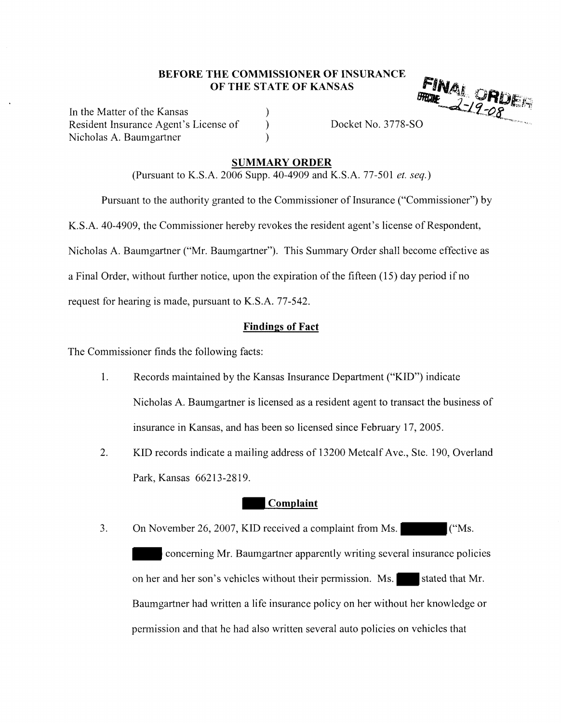### **BEFORE THE COMMISSIONER OF INSURANCE OF THE STATE OF KANSAS**

) ) )

In the Matter of the Kansas Resident Insurance Agent's License of Nicholas A. Baumgartner

Docket No. 3778-SO

#### **SUMMARY ORDER**

(Pursuant to K.S.A. 2006 Supp. 40-4909 and K.S.A. 77-501 *et. seq.)* 

Pursuant to the authority granted to the Commissioner of Insurance ("Commissioner") by

K.S.A. 40-4909, the Commissioner hereby revokes the resident agent's license of Respondent,

Nicholas A. Baumgartner ("Mr. Baumgartner"). This Summary Order shall become effective as

a Final Order, without further notice, upon the expiration of the fifteen ( 15) day period if no

request for hearing is made, pursuant to **K.S.A.** 77-542.

### **Findings of Fact**

The Commissioner finds the following facts:

- 1. Records maintained by the Kansas Insurance Department ("KID") indicate Nicholas A. Baumgartner is licensed as a resident agent to transact the business of insurance in Kansas, and has been so licensed since February 17, 2005.
- 2. KID records indicate a mailing address of 13200 Metcalf Ave., Ste. 190, Overland Park, Kansas 66213-2819.

### **Complaint**

3. On November 26, 2007, KID received a complaint from Ms.  $\blacksquare$  ("Ms. - concerning Mr. Baumgartner apparently writing several insurance policies on her and her son's vehicles without their permission. Ms. stated that Mr. Baumgartner had written a life insurance policy on her without her knowledge or permission and that he had also written several auto policies on vehicles that

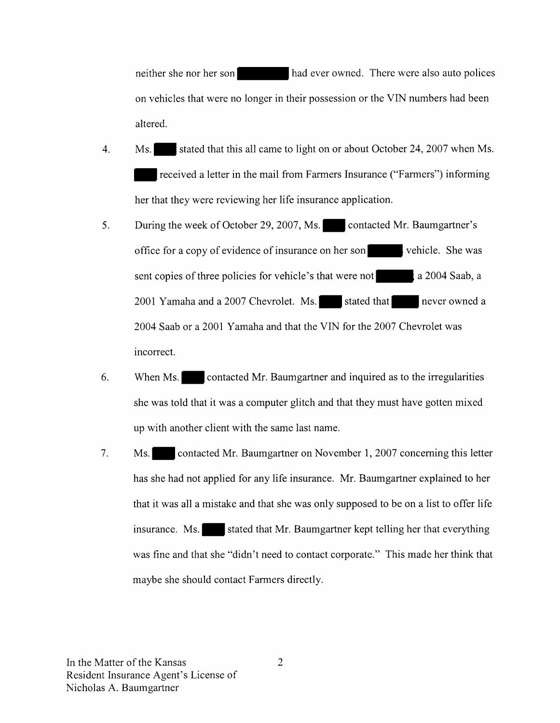neither she nor her son had ever owned. There were also auto polices on vehicles that were no longer in their possession or the VIN numbers had been altered.

- 4. **Ms.** Stated that this all came to light on or about October 24, 2007 when Ms. **<sup>1111111</sup>**received a letter in the mail from Farmers Insurance ("Farmers") informing her that they were reviewing her life insurance application.
- 5. During the week of October 29, 2007, **Ms.11111111** contacted Mr. Baumgartner's office for a copy of evidence of insurance on her son- vehicle. She was sent copies of three policies for vehicle's that were not a 2004 Saab, a 2001 Yamaha and a 2007 Chevrolet. **Ms.11111111** stated that **111111** never owned a 2004 Saab or a 2001 Yamaha and that the VIN for the 2007 Chevrolet was incorrect.
- 6. When Ms. 1111 **contacted Mr. Baumgartner and inquired as to the irregularities** she was told that it was a computer glitch and that they must have gotten mixed up with another client with the same last name.
- 7. **Ms.11111111** contacted Mr. Baumgartner on November 1, 2007 concerning this letter has she had not applied for any life insurance. Mr. Baumgartner explained to her that it was all a mistake and that she was only supposed to be on a list to offer life insurance. Ms. stated that Mr. Baumgartner kept telling her that everything was fine and that she "didn't need to contact corporate." This made her think that maybe she should contact Farmers directly.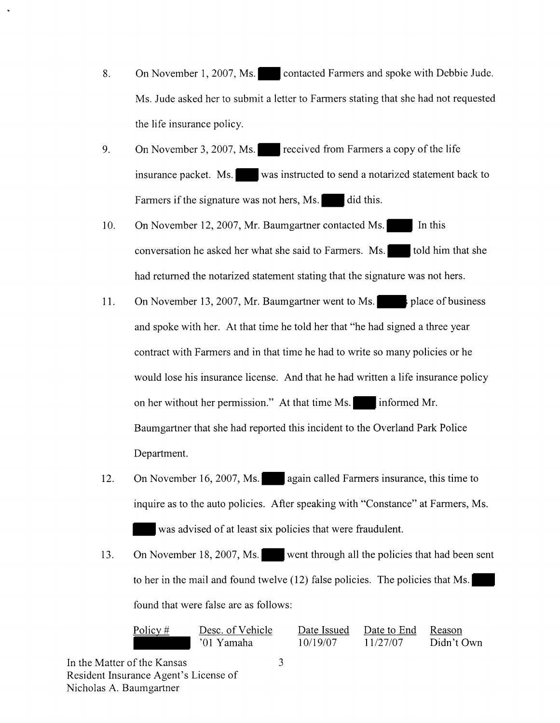- 8. On November 1, 2007, Ms. contacted Farmers and spoke with Debbie Jude. Ms. Jude asked her to submit a letter to Farmers stating that she had not requested the life insurance policy.
- 9. On November 3, 2007, Ms. received from Farmers a copy of the life insurance packet. Ms. was instructed to send a notarized statement back to Farmers if the signature was not hers,  $Ms.$  did this.
- 10. On November 12, 2007, Mr. Baumgartner contacted Ms. In this conversation he asked her what she said to Farmers.  $Ms.$  told him that she had returned the notarized statement stating that the signature was not hers.
- 11. On November 13, 2007, Mr. Baumgartner went to Ms.  $\vert$  is place of business and spoke with her. At that time he told her that "he had signed a three year contract with Farmers and in that time he had to write so many policies or he would lose his insurance license. And that he had written a life insurance policy on her without her permission." At that time Ms. informed Mr. Baumgartner that she had reported this incident to the Overland Park Police Department.
- 12. On November 16, 2007, Ms. again called Farmers insurance, this time to inquire as to the auto policies. After speaking with "Constance" at Farmers, Ms. was advised of at least six policies that were fraudulent.
- 13. On November 18, 2007, Ms. went through all the policies that had been sent to her in the mail and found twelve (12) false policies. The policies that Ms. found that were false are as follows:

Policy# Desc. of Vehicle '01 Yamaha Date Issued 10/19/07 Date to End 11/27/07 Reason Didn't Own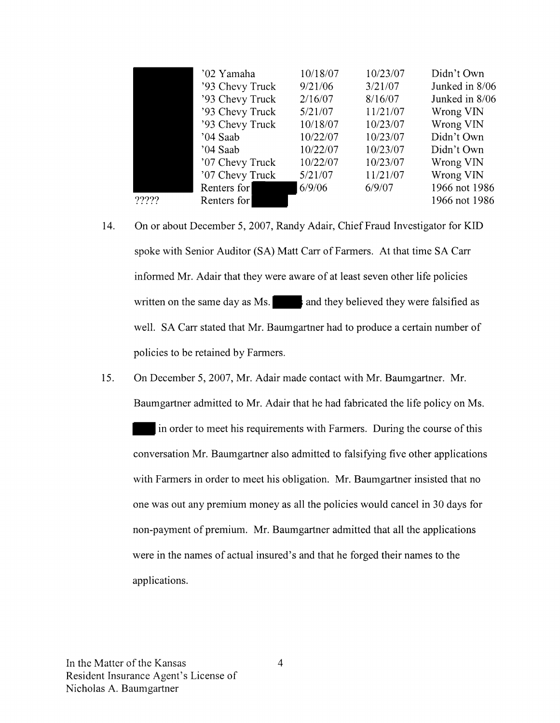|       | '02 Yamaha      | 10/18/07 | 10/23/07 | Didn't Own     |
|-------|-----------------|----------|----------|----------------|
|       | '93 Chevy Truck | 9/21/06  | 3/21/07  | Junked in 8/06 |
|       | '93 Chevy Truck | 2/16/07  | 8/16/07  | Junked in 8/06 |
|       | '93 Chevy Truck | 5/21/07  | 11/21/07 | Wrong VIN      |
|       | '93 Chevy Truck | 10/18/07 | 10/23/07 | Wrong VIN      |
|       | '04 Saab        | 10/22/07 | 10/23/07 | Didn't Own     |
|       | '04 Saab        | 10/22/07 | 10/23/07 | Didn't Own     |
|       | '07 Chevy Truck | 10/22/07 | 10/23/07 | Wrong VIN      |
|       | '07 Chevy Truck | 5/21/07  | 11/21/07 | Wrong VIN      |
|       | Renters for     | 6/9/06   | 6/9/07   | 1966 not 1986  |
| ????? | Renters for     |          |          | 1966 not 1986  |

- 14. On or about December 5, 2007, Randy Adair, Chief Fraud Investigator for KID spoke with Senior Auditor (SA) Matt Carr of Farmers. At that time SA Carr informed Mr. Adair that they were aware of at least seven other life policies written on the same day as  $Ms$ .  $\cdot$  and they believed they were falsified as well. SA Carr stated that Mr. Baumgartner had to produce a certain number of policies to be retained by Farmers.
- 15. On December 5, 2007, Mr. Adair made contact with Mr. Baumgartner. Mr. Baumgartner admitted to Mr. Adair that he had fabricated the life policy on Ms.

in order to meet his requirements with Farmers. During the course of this conversation Mr. Baumgartner also admitted to falsifying five other applications with Farmers in order to meet his obligation. Mr. Baumgartner insisted that no one was out any premium money as all the policies would cancel in 30 days for non-payment of premium. Mr. Baumgartner admitted that all the applications were in the names of actual insured's and that he forged their names to the applications.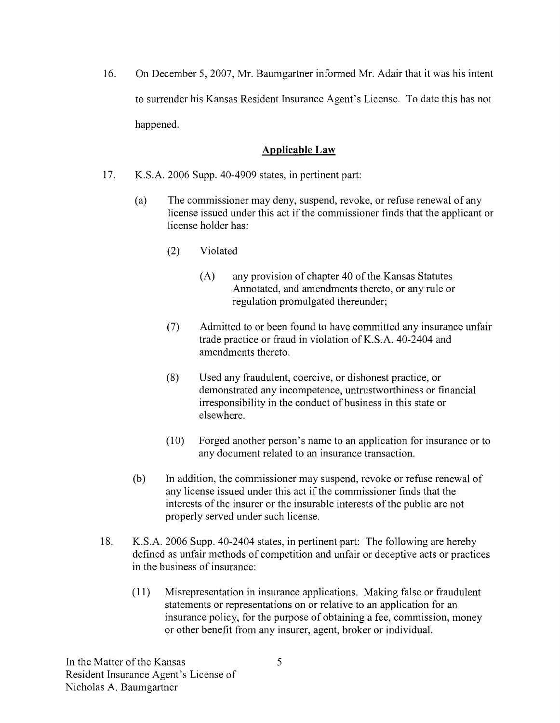16. On December 5, 2007, Mr. Baumgartner informed Mr. Adair that it was his intent to surrender his Kansas Resident Insurance Agent's License. To date this has not happened.

## **Applicable Law**

- 17. K.S.A. 2006 Supp. 40-4909 states, in pertinent part:
	- (a) The commissioner may deny, suspend, revoke, or refuse renewal of any license issued under this act if the commissioner finds that the applicant or license holder has:
		- (2) Violated
			- (A) any provision of chapter 40 of the Kansas Statutes Annotated, and amendments thereto, or any rule or regulation promulgated thereunder;
		- (7) Admitted to or been found to have committed any insurance unfair trade practice or fraud in violation of **K.S.A.** 40-2404 and amendments thereto.
		- (8) Used any fraudulent, coercive, or dishonest practice, or demonstrated any incompetence, untrustworthiness or financial irresponsibility in the conduct of business in this state or elsewhere.
		- (10) Forged another person's name to an application for insurance or to any document related to an insurance transaction.
	- (b) In addition, the commissioner may suspend, revoke or refuse renewal of any license issued under this act if the commissioner finds that the interests of the insurer or the insurable interests of the public are not properly served under such license.
- 18. K.S.A. 2006 Supp. 40-2404 states, in pertinent part: The following are hereby defined as unfair methods of competition and unfair or deceptive acts or practices in the business of insurance:
	- (11) Misrepresentation in insurance applications. Making false or fraudulent statements or representations on or relative to an application for an insurance policy, for the purpose of obtaining a fee, commission, money or other benefit from any insurer, agent, broker or individual.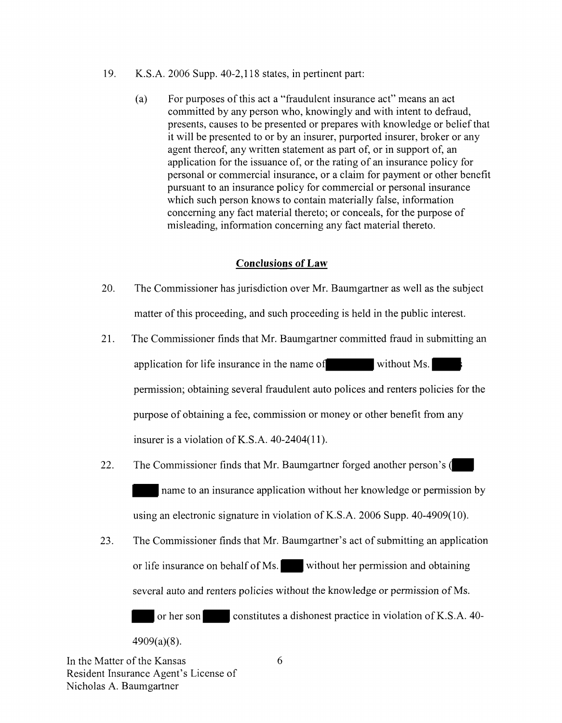- 19. K.S.A. 2006 Supp. 40-2,118 states, in pertinent part:
	- (a) For purposes of this act a "fraudulent insurance act" means an act committed by any person who, knowingly and with intent to defraud, presents, causes to be presented or prepares with knowledge or belief that it will be presented to or by an insurer, purported insurer, broker or any agent thereof, any written statement as part of, or in support of, an application for the issuance of, or the rating of an insurance policy for personal or commercial insurance, or a claim for payment or other benefit pursuant to an insurance policy for commercial or personal insurance which such person knows to contain materially false, information concerning any fact material thereto; or conceals, for the purpose of misleading, information concerning any fact material thereto.

### **Conclusions of Law**

- 20. The Commissioner has jurisdiction over Mr. Baumgartner as well as the subject matter of this proceeding, and such proceeding is held in the public interest.
- 21. The Commissioner finds that Mr. Baumgartner committed fraud in submitting an application for life insurance in the name of without Ms. permission; obtaining several fraudulent auto polices and renters policies for the purpose of obtaining a fee, commission or money or other benefit from any insurer is a violation of K.S.A. 40-2404(11).
- 22. The Commissioner finds that Mr. Baumgartner forged another person's  $\int$ hame to an insurance application without her knowledge or permission by using an electronic signature in violation of K.S.A. 2006 Supp. 40-4909(10).
- 23. The Commissioner finds that Mr. Baumgartner's act of submitting an application or life insurance on behalf of Ms. without her permission and obtaining several auto and renters policies without the knowledge or permission of Ms.

or her son<sup>-</sup> constitutes a dishonest practice in violation of K.S.A. 40-

 $4909(a)(8)$ .

In the Matter of the Kansas Resident Insurance Agent's License of Nicholas A. Baumgartner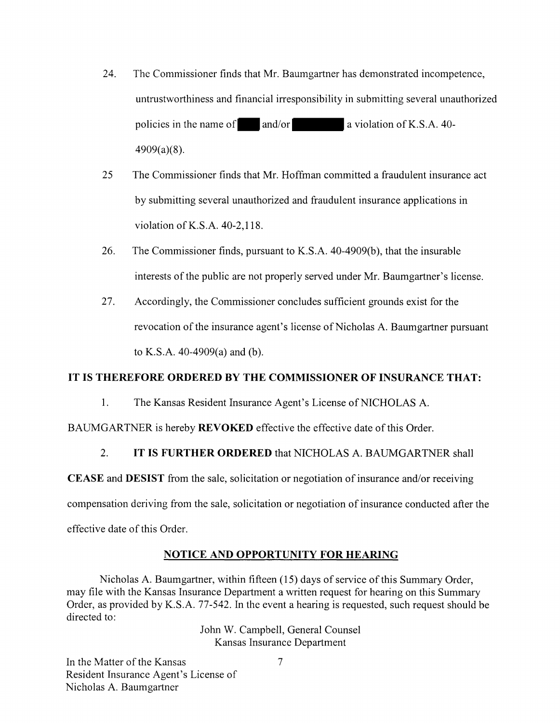- 24. The Commissioner finds that Mr. Baumgartner has demonstrated incompetence, untrustworthiness and financial irresponsibility in submitting several unauthorized policies in the name of  $\qquad$ and/or $\qquad$ a violation of K.S.A. 40-4909(a)(8).
- 25 The Commissioner finds that Mr. Hoffman committed a fraudulent insurance act by submitting several unauthorized and fraudulent insurance applications in violation of K.S.A. 40-2,118.
- 26. The Commissioner finds, pursuant to K.S.A. 40-4909(b ), that the insurable interests of the public are not properly served under Mr. Baumgartner's license.
- 27. Accordingly, the Commissioner concludes sufficient grounds exist for the revocation of the insurance agent's license of Nicholas A. Baumgartner pursuant to K.S.A. 40-4909(a) and (b).

### **IT IS THEREFORE ORDERED BY THE COMMISSIONER OF INSURANCE THAT:**

1. The Kansas Resident Insurance Agent's License of NICHOLAS A.

BAUMGARTNER is hereby **REVOKED** effective the effective date of this Order.

### 2. **IT IS FURTHER ORDERED** that NICHOLAS A. BAUMGARTNER shall

**CEASE** and **DESIST** from the sale, solicitation or negotiation of insurance and/or receiving

compensation deriving from the sale, solicitation or negotiation of insurance conducted after the

effective date of this Order.

### **NOTICE AND OPPORTUNITY FOR HEARING**

Nicholas A. Baumgartner, within fifteen (15) days of service of this Summary Order, may file with the Kansas Insurance Department a written request for hearing on this Summary Order, as provided by K.S.A. 77-542. In the event a hearing is requested, such request should be directed to:

John W. Campbell, General Counsel Kansas Insurance Department

In the Matter of the Kansas Resident Insurance Agent's License of Nicholas A. Baumgartner

7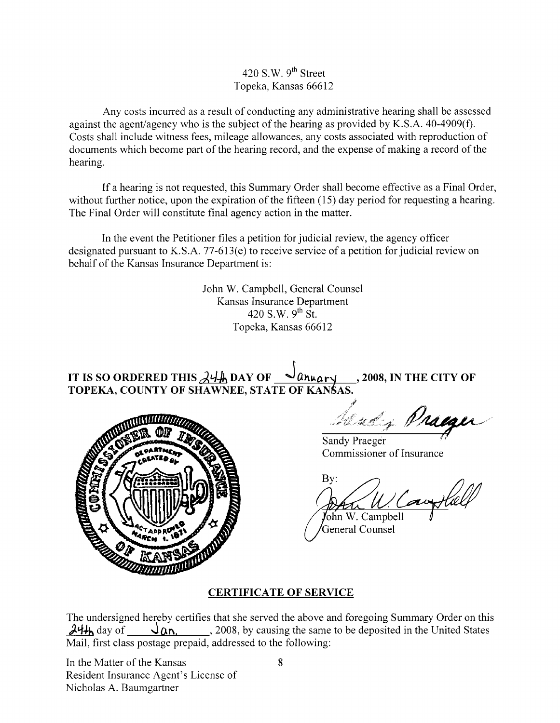420 S.W.  $9<sup>th</sup>$  Street Topeka, Kansas 66612

Any costs incurred as a result of conducting any administrative hearing shall be assessed against the agent/agency who is the subject of the hearing as provided by K.S.A. 40-4909(f). Costs shall include witness fees, mileage allowances, any costs associated with reproduction of documents which become part of the hearing record, and the expense of making a record of the hearing.

If a hearing is not requested, this Summary Order shall become effective as a Final Order, without further notice, upon the expiration of the fifteen (15) day period for requesting a hearing. The Final Order will constitute final agency action in the matter.

In the event the Petitioner files a petition for judicial review, the agency officer designated pursuant to K.S.A. 77-613(e) to receive service of a petition for judicial review on behalf of the Kansas Insurance Department is:

> John W. Campbell, General Counsel Kansas Insurance Department 420 S.W.  $9^{th}$  St. Topeka, Kansas 66612

IT **IS so ORDERED THIS** *J.'-1-h,* **DAY OF J ll~•a r~** , **2008, IN THE CITY OF**  TOPEKA, COUNTY OF SHAWNEE, STATE OF KAN**S**AS.



 $\lambda$   $\lambda$ 5AS. 2008, IN THE CITY OF

Sandy Praeger Commissioner of Insurance

By: Cauxt

John W. Campbell General Counsel

# **CERTIFICATE OF SERVICE**

The undersigned hereby certifies that she served the above and foregoing Summary Order on this  $\lambda$ <sup>4</sup>/<sub>h</sub> day of  $\lambda$  **Qn.** , 2008, by causing the same to be deposited in the United States Mail, first class postage prepaid, addressed to the following:

In the Matter of the Kansas Resident Insurance Agent's License of Nicholas A. Baumgartner